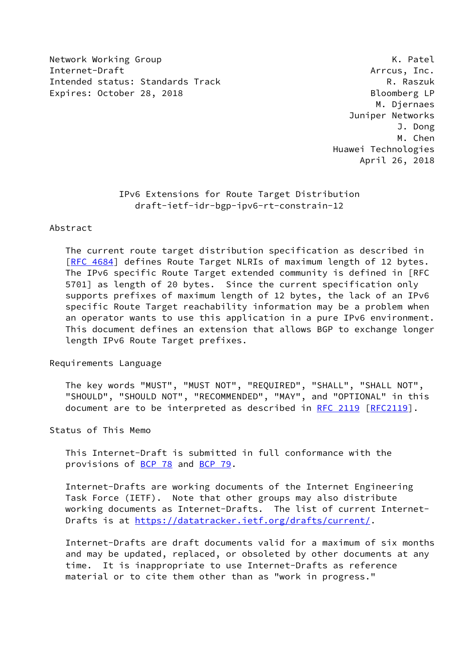Network Working Group **K. Patel** Internet-Draft Arrcus, Inc. Intended status: Standards Track R. Raszuk Expires: October 28, 2018 Bloomberg LP

 M. Djernaes Juniper Networks J. Dong M. Chen Huawei Technologies April 26, 2018

## IPv6 Extensions for Route Target Distribution draft-ietf-idr-bgp-ipv6-rt-constrain-12

### Abstract

 The current route target distribution specification as described in [\[RFC 4684](https://datatracker.ietf.org/doc/pdf/rfc4684)] defines Route Target NLRIs of maximum length of 12 bytes. The IPv6 specific Route Target extended community is defined in [RFC 5701] as length of 20 bytes. Since the current specification only supports prefixes of maximum length of 12 bytes, the lack of an IPv6 specific Route Target reachability information may be a problem when an operator wants to use this application in a pure IPv6 environment. This document defines an extension that allows BGP to exchange longer length IPv6 Route Target prefixes.

Requirements Language

 The key words "MUST", "MUST NOT", "REQUIRED", "SHALL", "SHALL NOT", "SHOULD", "SHOULD NOT", "RECOMMENDED", "MAY", and "OPTIONAL" in this document are to be interpreted as described in [RFC 2119 \[RFC2119](https://datatracker.ietf.org/doc/pdf/rfc2119)].

Status of This Memo

 This Internet-Draft is submitted in full conformance with the provisions of [BCP 78](https://datatracker.ietf.org/doc/pdf/bcp78) and [BCP 79](https://datatracker.ietf.org/doc/pdf/bcp79).

 Internet-Drafts are working documents of the Internet Engineering Task Force (IETF). Note that other groups may also distribute working documents as Internet-Drafts. The list of current Internet- Drafts is at<https://datatracker.ietf.org/drafts/current/>.

 Internet-Drafts are draft documents valid for a maximum of six months and may be updated, replaced, or obsoleted by other documents at any time. It is inappropriate to use Internet-Drafts as reference material or to cite them other than as "work in progress."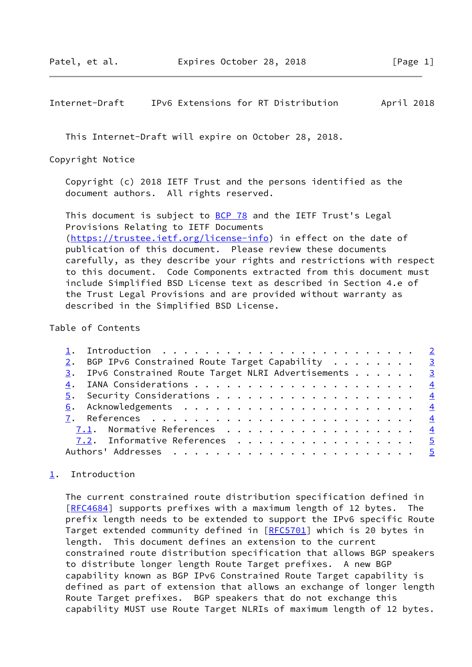#### <span id="page-1-1"></span>Internet-Draft IPv6 Extensions for RT Distribution April 2018

This Internet-Draft will expire on October 28, 2018.

Copyright Notice

 Copyright (c) 2018 IETF Trust and the persons identified as the document authors. All rights reserved.

This document is subject to **[BCP 78](https://datatracker.ietf.org/doc/pdf/bcp78)** and the IETF Trust's Legal Provisions Relating to IETF Documents [\(https://trustee.ietf.org/license-info](https://trustee.ietf.org/license-info)) in effect on the date of publication of this document. Please review these documents carefully, as they describe your rights and restrictions with respect to this document. Code Components extracted from this document must include Simplified BSD License text as described in Section 4.e of the Trust Legal Provisions and are provided without warranty as described in the Simplified BSD License.

#### Table of Contents

|  | 2. BGP IPv6 Constrained Route Target Capability 3      |  |
|--|--------------------------------------------------------|--|
|  | 3. IPv6 Constrained Route Target NLRI Advertisements 3 |  |
|  |                                                        |  |
|  |                                                        |  |
|  |                                                        |  |
|  |                                                        |  |
|  | 7.1. Normative References 4                            |  |
|  | 7.2. Informative References 5                          |  |
|  |                                                        |  |
|  |                                                        |  |

## <span id="page-1-0"></span>[1](#page-1-0). Introduction

 The current constrained route distribution specification defined in [\[RFC4684](https://datatracker.ietf.org/doc/pdf/rfc4684)] supports prefixes with a maximum length of 12 bytes. The prefix length needs to be extended to support the IPv6 specific Route Target extended community defined in [\[RFC5701](https://datatracker.ietf.org/doc/pdf/rfc5701)] which is 20 bytes in length. This document defines an extension to the current constrained route distribution specification that allows BGP speakers to distribute longer length Route Target prefixes. A new BGP capability known as BGP IPv6 Constrained Route Target capability is defined as part of extension that allows an exchange of longer length Route Target prefixes. BGP speakers that do not exchange this capability MUST use Route Target NLRIs of maximum length of 12 bytes.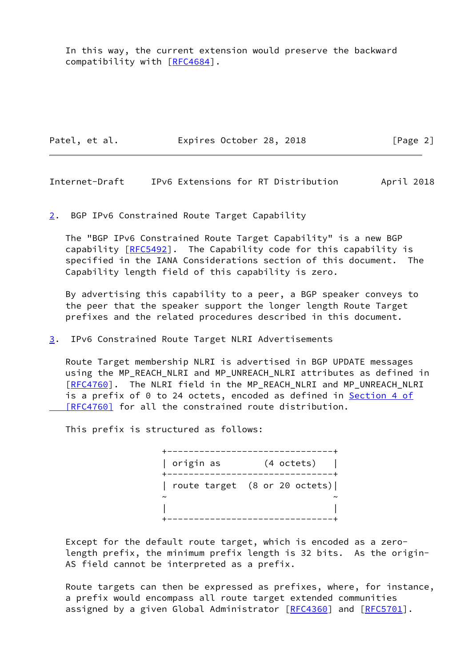In this way, the current extension would preserve the backward compatibility with [[RFC4684\]](https://datatracker.ietf.org/doc/pdf/rfc4684).

Patel, et al. Expires October 28, 2018 [Page 2]

<span id="page-2-1"></span>Internet-Draft IPv6 Extensions for RT Distribution April 2018

<span id="page-2-0"></span>[2](#page-2-0). BGP IPv6 Constrained Route Target Capability

 The "BGP IPv6 Constrained Route Target Capability" is a new BGP capability [[RFC5492\]](https://datatracker.ietf.org/doc/pdf/rfc5492). The Capability code for this capability is specified in the IANA Considerations section of this document. The Capability length field of this capability is zero.

 By advertising this capability to a peer, a BGP speaker conveys to the peer that the speaker support the longer length Route Target prefixes and the related procedures described in this document.

<span id="page-2-2"></span>[3](#page-2-2). IPv6 Constrained Route Target NLRI Advertisements

 Route Target membership NLRI is advertised in BGP UPDATE messages using the MP\_REACH\_NLRI and MP\_UNREACH\_NLRI attributes as defined in [\[RFC4760](https://datatracker.ietf.org/doc/pdf/rfc4760)]. The NLRI field in the MP\_REACH\_NLRI and MP\_UNREACH\_NLRI is a prefix of 0 to 24 octets, encoded as defined in **Section 4 of**  [\[RFC4760\]](https://datatracker.ietf.org/doc/pdf/rfc4760#section-4) for all the constrained route distribution.

This prefix is structured as follows:

 +-------------------------------+ | origin as (4 octets) | +-------------------------------+ | route target (8 or 20 octets)|  $\sim$   $\sim$   $\sim$   $\sim$   $\sim$   $\sim$  | | +-------------------------------+

 Except for the default route target, which is encoded as a zero length prefix, the minimum prefix length is 32 bits. As the origin- AS field cannot be interpreted as a prefix.

 Route targets can then be expressed as prefixes, where, for instance, a prefix would encompass all route target extended communities assigned by a given Global Administrator [\[RFC4360](https://datatracker.ietf.org/doc/pdf/rfc4360)] and [\[RFC5701](https://datatracker.ietf.org/doc/pdf/rfc5701)].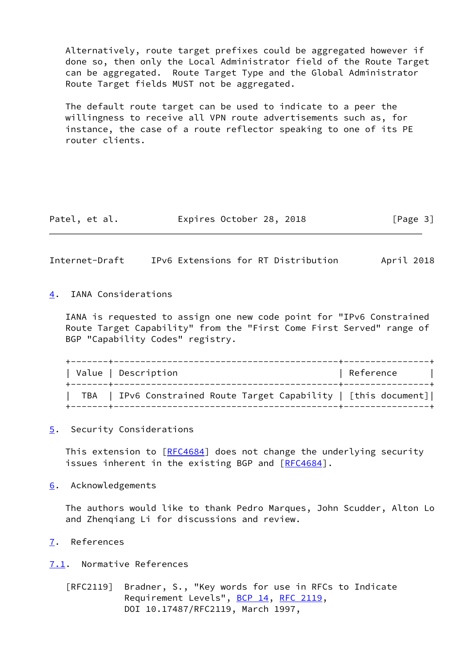Alternatively, route target prefixes could be aggregated however if done so, then only the Local Administrator field of the Route Target can be aggregated. Route Target Type and the Global Administrator Route Target fields MUST not be aggregated.

 The default route target can be used to indicate to a peer the willingness to receive all VPN route advertisements such as, for instance, the case of a route reflector speaking to one of its PE router clients.

| Patel, et al. | Expires October 28, 2018 |  | [Page 3] |
|---------------|--------------------------|--|----------|
|---------------|--------------------------|--|----------|

<span id="page-3-1"></span>Internet-Draft IPv6 Extensions for RT Distribution April 2018

<span id="page-3-0"></span>[4](#page-3-0). IANA Considerations

 IANA is requested to assign one new code point for "IPv6 Constrained Route Target Capability" from the "First Come First Served" range of BGP "Capability Codes" registry.

| Value   Description                                              | Reference          |  |
|------------------------------------------------------------------|--------------------|--|
| TBA   IPv6 Constrained Route Target Capability   [this document] | ------------------ |  |

<span id="page-3-2"></span>[5](#page-3-2). Security Considerations

This extension to [[RFC4684](https://datatracker.ietf.org/doc/pdf/rfc4684)] does not change the underlying security issues inherent in the existing BGP and [\[RFC4684](https://datatracker.ietf.org/doc/pdf/rfc4684)].

<span id="page-3-3"></span>[6](#page-3-3). Acknowledgements

 The authors would like to thank Pedro Marques, John Scudder, Alton Lo and Zhenqiang Li for discussions and review.

<span id="page-3-4"></span>[7](#page-3-4). References

<span id="page-3-5"></span>[7.1](#page-3-5). Normative References

 [RFC2119] Bradner, S., "Key words for use in RFCs to Indicate Requirement Levels", [BCP 14](https://datatracker.ietf.org/doc/pdf/bcp14), [RFC 2119](https://datatracker.ietf.org/doc/pdf/rfc2119), DOI 10.17487/RFC2119, March 1997,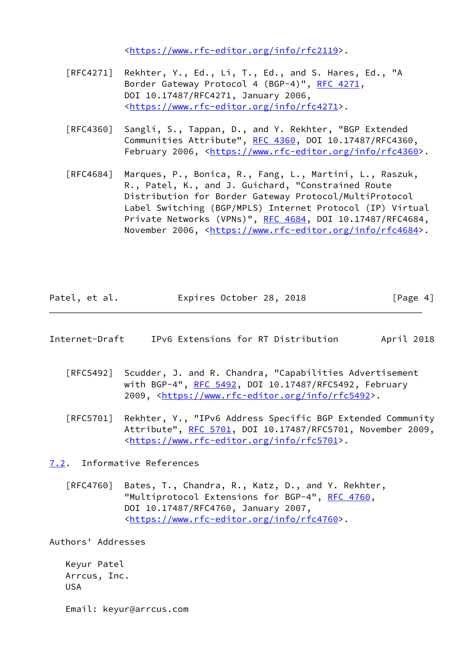<[https://www.rfc-editor.org/info/rfc2119>](https://www.rfc-editor.org/info/rfc2119).

- [RFC4271] Rekhter, Y., Ed., Li, T., Ed., and S. Hares, Ed., "A Border Gateway Protocol 4 (BGP-4)", [RFC 4271,](https://datatracker.ietf.org/doc/pdf/rfc4271) DOI 10.17487/RFC4271, January 2006, <[https://www.rfc-editor.org/info/rfc4271>](https://www.rfc-editor.org/info/rfc4271).
- [RFC4360] Sangli, S., Tappan, D., and Y. Rekhter, "BGP Extended Communities Attribute", [RFC 4360,](https://datatracker.ietf.org/doc/pdf/rfc4360) DOI 10.17487/RFC4360, February 2006, <<https://www.rfc-editor.org/info/rfc4360>>.
- [RFC4684] Marques, P., Bonica, R., Fang, L., Martini, L., Raszuk, R., Patel, K., and J. Guichard, "Constrained Route Distribution for Border Gateway Protocol/MultiProtocol Label Switching (BGP/MPLS) Internet Protocol (IP) Virtual Private Networks (VPNs)", [RFC 4684](https://datatracker.ietf.org/doc/pdf/rfc4684), DOI 10.17487/RFC4684, November 2006, <<https://www.rfc-editor.org/info/rfc4684>>.

| Patel, et al. | Expires October 28, 2018 |  | [Page 4] |
|---------------|--------------------------|--|----------|
|---------------|--------------------------|--|----------|

- <span id="page-4-1"></span>Internet-Draft IPv6 Extensions for RT Distribution April 2018
	- [RFC5492] Scudder, J. and R. Chandra, "Capabilities Advertisement with BGP-4", [RFC 5492](https://datatracker.ietf.org/doc/pdf/rfc5492), DOI 10.17487/RFC5492, February 2009, [<https://www.rfc-editor.org/info/rfc5492](https://www.rfc-editor.org/info/rfc5492)>.
	- [RFC5701] Rekhter, Y., "IPv6 Address Specific BGP Extended Community Attribute", [RFC 5701,](https://datatracker.ietf.org/doc/pdf/rfc5701) DOI 10.17487/RFC5701, November 2009, <[https://www.rfc-editor.org/info/rfc5701>](https://www.rfc-editor.org/info/rfc5701).

<span id="page-4-0"></span>[7.2](#page-4-0). Informative References

 [RFC4760] Bates, T., Chandra, R., Katz, D., and Y. Rekhter, "Multiprotocol Extensions for BGP-4", [RFC 4760](https://datatracker.ietf.org/doc/pdf/rfc4760), DOI 10.17487/RFC4760, January 2007, <[https://www.rfc-editor.org/info/rfc4760>](https://www.rfc-editor.org/info/rfc4760).

Authors' Addresses

 Keyur Patel Arrcus, Inc. USA

Email: keyur@arrcus.com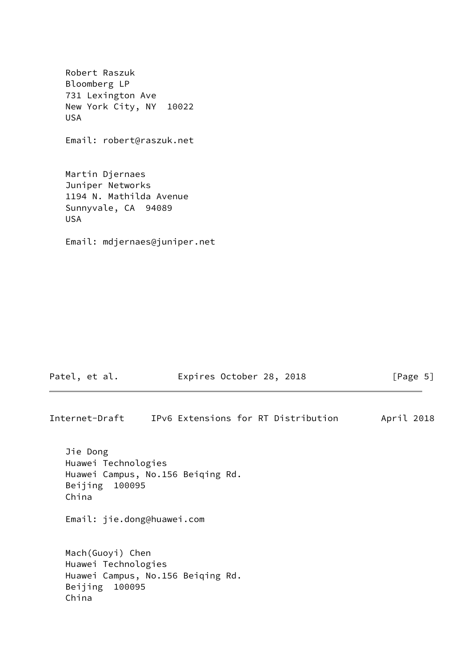Robert Raszuk Bloomberg LP 731 Lexington Ave New York City, NY 10022 USA

Email: robert@raszuk.net

 Martin Djernaes Juniper Networks 1194 N. Mathilda Avenue Sunnyvale, CA 94089 USA

Email: mdjernaes@juniper.net

| Patel, et al. | Expires October 28, 2018 |  |  |  | [Page 5] |
|---------------|--------------------------|--|--|--|----------|
|---------------|--------------------------|--|--|--|----------|

Internet-Draft IPv6 Extensions for RT Distribution April 2018 Jie Dong Huawei Technologies Huawei Campus, No.156 Beiqing Rd. Beijing 100095 China Email: jie.dong@huawei.com Mach(Guoyi) Chen Huawei Technologies Huawei Campus, No.156 Beiqing Rd. Beijing 100095 China